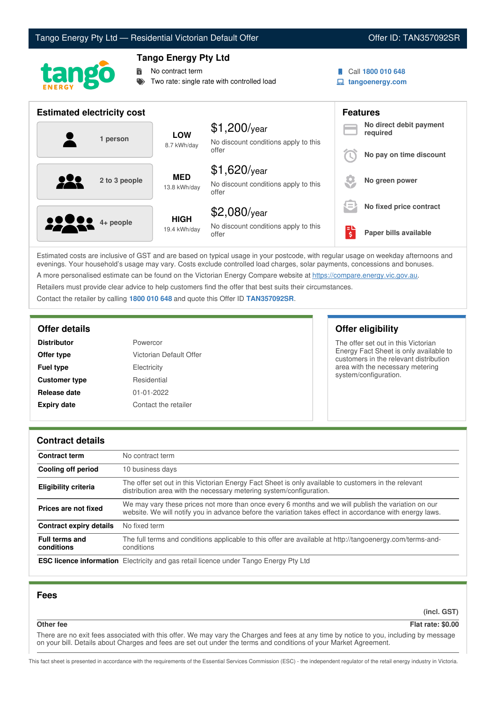# Tango Energy Pty Ltd — Residential Victorian Default Offer **Communist Communist Communist Communist Communist Communist Communist Communist Communist Communist Communist Communist Communist Communist Communist Communist Co**



## **Tango Energy Pty Ltd**

No contract term

Two rate: single rate with controlled load

- 
- Call **1800 010 648**
- **tangoenergy.com**

| <b>Estimated electricity cost</b> |                             |                                                                 | <b>Features</b> |                                     |
|-----------------------------------|-----------------------------|-----------------------------------------------------------------|-----------------|-------------------------------------|
| 1 person                          | <b>LOW</b><br>8.7 kWh/day   | $$1,200$ /year<br>No discount conditions apply to this          |                 | No direct debit payment<br>required |
|                                   |                             | offer                                                           |                 | No pay on time discount             |
| 2 to 3 people                     | <b>MED</b><br>13.8 kWh/day  | $$1,620$ /year<br>No discount conditions apply to this<br>offer |                 | No green power                      |
|                                   |                             | $$2,080$ /year                                                  | $=$             | No fixed price contract             |
| <b>2000</b> 4+ people             | <b>HIGH</b><br>19.4 kWh/day | No discount conditions apply to this<br>offer                   | EU<br>\$        | Paper bills available               |

Estimated costs are inclusive of GST and are based on typical usage in your postcode, with regular usage on weekday afternoons and evenings. Your household's usage may vary. Costs exclude controlled load charges, solar payments, concessions and bonuses. A more personalised estimate can be found on the Victorian Energy Compare website at <https://compare.energy.vic.gov.au>.

Retailers must provide clear advice to help customers find the offer that best suits their circumstances.

Contact the retailer by calling **1800 010 648** and quote this Offer ID **TAN357092SR**.

| <b>Distributor</b>   | Powercor                |
|----------------------|-------------------------|
| Offer type           | Victorian Default Offer |
| <b>Fuel type</b>     | Electricity             |
| <b>Customer type</b> | Residential             |
| Release date         | $01 - 01 - 2022$        |
| <b>Expiry date</b>   | Contact the retailer    |

## **Offer details Offer eligibility**

The offer set out in this Victorian Energy Fact Sheet is only available to customers in the relevant distribution area with the necessary metering system/configuration.

## **Contract details**

| <b>Contract term</b>                | No contract term                                                                                                                                                                                                |  |
|-------------------------------------|-----------------------------------------------------------------------------------------------------------------------------------------------------------------------------------------------------------------|--|
| <b>Cooling off period</b>           | 10 business days                                                                                                                                                                                                |  |
| Eligibility criteria                | The offer set out in this Victorian Energy Fact Sheet is only available to customers in the relevant<br>distribution area with the necessary metering system/configuration.                                     |  |
| Prices are not fixed                | We may vary these prices not more than once every 6 months and we will publish the variation on our<br>website. We will notify you in advance before the variation takes effect in accordance with energy laws. |  |
| <b>Contract expiry details</b>      | No fixed term                                                                                                                                                                                                   |  |
| <b>Full terms and</b><br>conditions | The full terms and conditions applicable to this offer are available at http://tangoenergy.com/terms-and-<br>conditions                                                                                         |  |
|                                     | <b>ESC licence information</b> Electricity and gas retail licence under Tango Energy Pty Ltd                                                                                                                    |  |

## **Fees**

**(incl. GST)**

**Other fee Flat rate: \$0.00**

There are no exit fees associated with this offer. We may vary the Charges and fees at any time by notice to you, including by message on your bill. Details about Charges and fees are set out under the terms and conditions of your Market Agreement.

This fact sheet is presented in accordance with the requirements of the Essential Services Commission (ESC) - the independent regulator of the retail energy industry in Victoria.